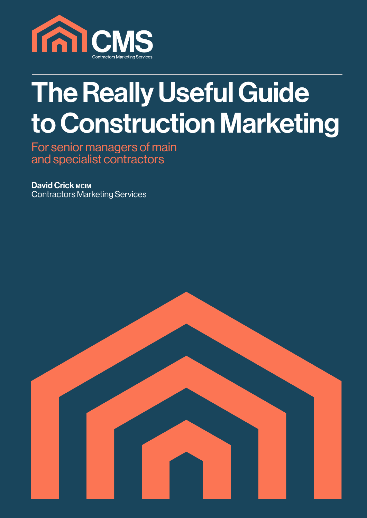

# The Really Useful Guide to Construction Marketing

For senior managers of main and specialist contractors

David Crick mcim Contractors Marketing Services

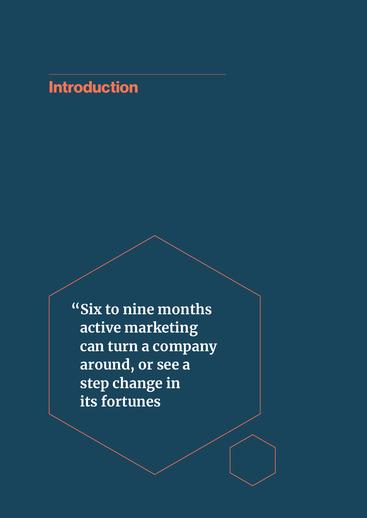# **Introduction**

 **"Six to nine months active marketing can turn a company around, or see a step change in its fortunes**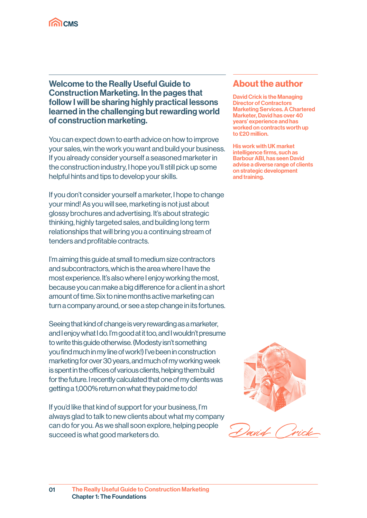

Welcome to the Really Useful Guide to Construction Marketing. In the pages that follow I will be sharing highly practical lessons learned in the challenging but rewarding world of construction marketing.

You can expect down to earth advice on how to improve your sales, win the work you want and build your business. If you already consider yourself a seasoned marketer in the construction industry, I hope you'll still pick up some helpful hints and tips to develop your skills.

If you don't consider yourself a marketer, I hope to change your mind! As you will see, marketing is not just about glossy brochures and advertising. It's about strategic thinking, highly targeted sales, and building long term relationships that will bring you a continuing stream of tenders and profitable contracts.

I'm aiming this guide at small to medium size contractors and subcontractors, which is the area where I have the most experience. It's also where I enjoy working the most, because you can make a big difference for a client in a short amount of time. Six to nine months active marketing can turn a company around, or see a step change in its fortunes.

Seeing that kind of change is very rewarding as a marketer, and I enjoy what I do. I'm good at it too, and I wouldn't presume to write this guide otherwise. (Modesty isn't something you find much in my line of work!) I've been in construction marketing for over 30 years, and much of my working week is spent in the offices of various clients, helping them build for the future. I recently calculated that one of my clients was getting a 1,000% return on what they paid me to do!

If you'd like that kind of support for your business, I'm always glad to talk to new clients about what my company can do for you. As we shall soon explore, helping people  $B$  avid Crick

#### About the author

David Crick is the Managing Director of Contractors Marketing Services. A Chartered Marketer, David has over 40 years' experience and has worked on contracts worth up to £20 million.

His work with UK market intelligence firms, such as Barbour ABI, has seen David advise a diverse range of clients on strategic development and training.

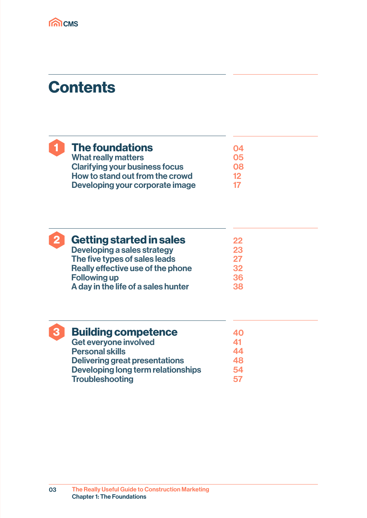

1

# **Contents**

| <b>The foundations</b>                | 04        |
|---------------------------------------|-----------|
| <b>What really matters</b>            | 05        |
| <b>Clarifying your business focus</b> | <b>O8</b> |
| How to stand out from the crowd       | 12.       |
| Developing your corporate image       |           |

| $\mathbf 2$ | <b>Getting started in sales</b>     | 22 |
|-------------|-------------------------------------|----|
|             | Developing a sales strategy         | 23 |
|             | The five types of sales leads       | 27 |
|             | Really effective use of the phone   | 32 |
|             | <b>Following up</b>                 | 36 |
|             | A day in the life of a sales hunter | 38 |

| 3 | <b>Building competence</b>                | <b>40</b> |
|---|-------------------------------------------|-----------|
|   | Get everyone involved                     | 41        |
|   | <b>Personal skills</b>                    | 44        |
|   | <b>Delivering great presentations</b>     | 48        |
|   | <b>Developing long term relationships</b> | 54        |
|   | <b>Troubleshooting</b>                    | 57        |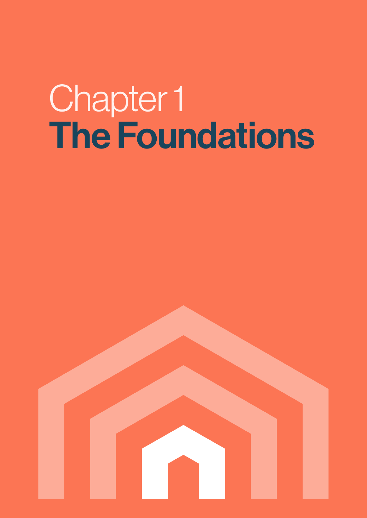# Chapter 1 The Foundations

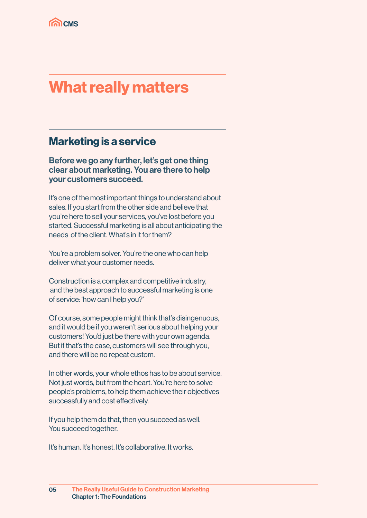# What really matters

## Marketing is a service

#### Before we go any further, let's get one thing clear about marketing. You are there to help your customers succeed.

It's one of the most important things to understand about sales. If you start from the other side and believe that you're here to sell your services, you've lost before you started. Successful marketing is all about anticipating the needs of the client. What's in it for them?

You're a problem solver. You're the one who can help deliver what your customer needs.

Construction is a complex and competitive industry, and the best approach to successful marketing is one of service: 'how can I help you?'

Of course, some people might think that's disingenuous, and it would be if you weren't serious about helping your customers! You'd just be there with your own agenda. But if that's the case, customers will see through you, and there will be no repeat custom.

In other words, your whole ethos has to be about service. Not just words, but from the heart. You're here to solve people's problems, to help them achieve their objectives successfully and cost effectively.

If you help them do that, then you succeed as well. You succeed together.

It's human. It's honest. It's collaborative. It works.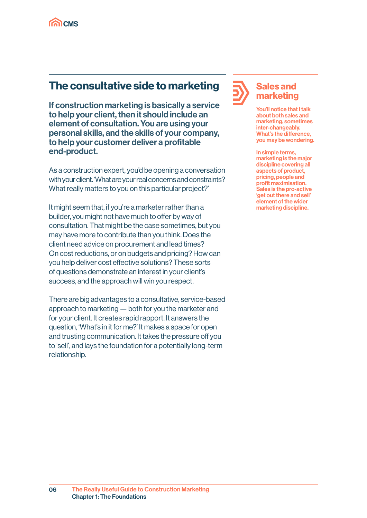# The consultative side to marketing

If construction marketing is basically a service to help your client, then it should include an element of consultation. You are using your personal skills, and the skills of your company, to help your customer deliver a profitable end-product.

As a construction expert, you'd be opening a conversation with your client. 'What are your real concerns and constraints? What really matters to you on this particular project?'

It might seem that, if you're a marketer rather than a builder, you might not have much to offer by way of consultation. That might be the case sometimes, but you may have more to contribute than you think. Does the client need advice on procurement and lead times? On cost reductions, or on budgets and pricing? How can you help deliver cost effective solutions? These sorts of questions demonstrate an interest in your client's success, and the approach will win you respect.

There are big advantages to a consultative, service-based approach to marketing — both for you the marketer and for your client. It creates rapid rapport. It answers the question, 'What's in it for me?' It makes a space for open and trusting communication. It takes the pressure off you to 'sell', and lays the foundation for a potentially long-term relationship.

#### Sales and marketing

You'll notice that I talk about both sales and marketing, sometimes inter-changeably. What's the difference, you may be wondering.

In simple terms, marketing is the major discipline covering all aspects of product, pricing, people and profit maximisation. Sales is the pro-active 'get out there and sell' element of the wider marketing discipline.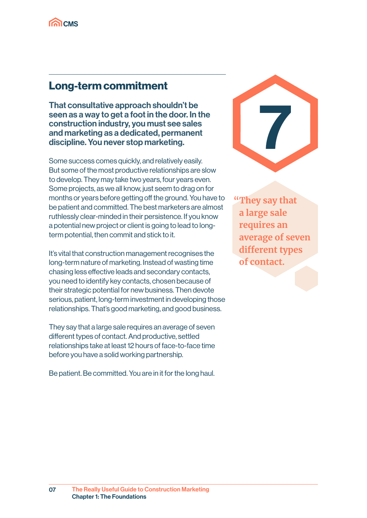

## Long-term commitment

That consultative approach shouldn't be seen as a way to get a foot in the door. In the construction industry, you must see sales and marketing as a dedicated, permanent discipline. You never stop marketing.

Some success comes quickly, and relatively easily. But some of the most productive relationships are slow to develop. They may take two years, four years even. Some projects, as we all know, just seem to drag on for months or years before getting off the ground. You have to be patient and committed. The best marketers are almost ruthlessly clear-minded in their persistence. If you know a potential new project or client is going to lead to longterm potential, then commit and stick to it.

It's vital that construction management recognises the long-term nature of marketing. Instead of wasting time chasing less effective leads and secondary contacts, you need to identify key contacts, chosen because of their strategic potential for new business. Then devote serious, patient, long-term investment in developing those relationships. That's good marketing, and good business.

They say that a large sale requires an average of seven different types of contact. And productive, settled relationships take at least 12 hours of face-to-face time before you have a solid working partnership.

Be patient. Be committed. You are in it for the long haul.



 **"They say that a large sale requires an average of seven different types of contact.**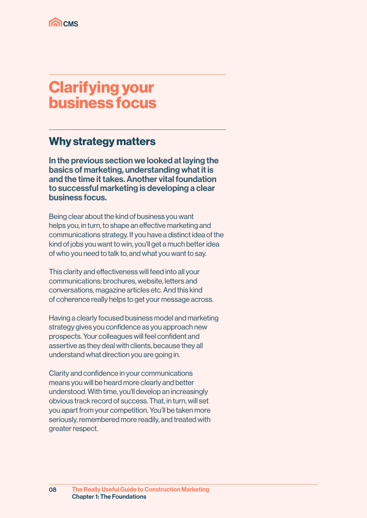

# Clarifying your business focus

## Why strategy matters

In the previous section we looked at laying the basics of marketing, understanding what it is and the time it takes. Another vital foundation to successful marketing is developing a clear business focus.

Being clear about the kind of business you want helps you, in turn, to shape an effective marketing and communications strategy. If you have a distinct idea of the kind of jobs you want to win, you'll get a much better idea of who you need to talk to, and what you want to say.

This clarity and effectiveness will feed into all your communications: brochures, website, letters and conversations, magazine articles etc. And this kind of coherence really helps to get your message across.

Having a clearly focused business model and marketing strategy gives you confidence as you approach new prospects. Your colleagues will feel confident and assertive as they deal with clients, because they all understand what direction you are going in.

Clarity and confidence in your communications means you will be heard more clearly and better understood. With time, you'll develop an increasingly obvious track record of success. That, in turn, will set you apart from your competition. You'll be taken more seriously, remembered more readily, and treated with greater respect.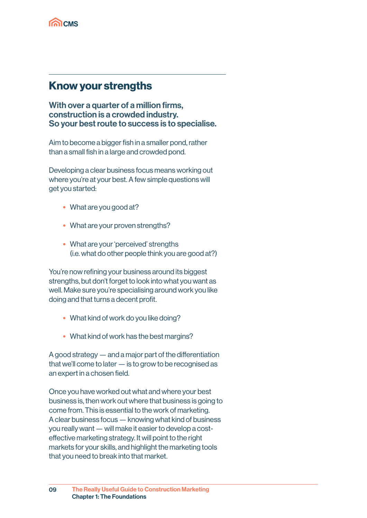

#### Know your strengths

With over a quarter of a million firms, construction is a crowded industry. So your best route to success is to specialise.

Aim to become a bigger fish in a smaller pond, rather than a small fish in a large and crowded pond.

Developing a clear business focus means working out where you're at your best. A few simple questions will get you started:

- What are you good at?
- What are your proven strengths?
- What are your 'perceived' strengths (i.e. what do other people think you are good at?)

You're now refining your business around its biggest strengths, but don't forget to look into what you want as well. Make sure you're specialising around work you like doing and that turns a decent profit.

- What kind of work do you like doing?
- What kind of work has the best margins?

A good strategy — and a major part of the differentiation that we'll come to later — is to grow to be recognised as an expert in a chosen field.

Once you have worked out what and where your best business is, then work out where that business is going to come from. This is essential to the work of marketing. A clear business focus — knowing what kind of business you really want — will make it easier to develop a costeffective marketing strategy. It will point to the right markets for your skills, and highlight the marketing tools that you need to break into that market.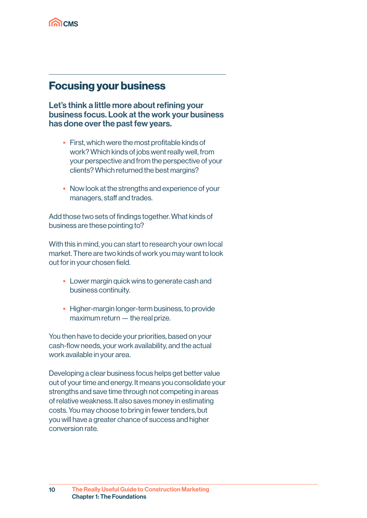

### Focusing your business

Let's think a little more about refining your business focus. Look at the work your business has done over the past few years.

- First, which were the most profitable kinds of work? Which kinds of jobs went really well, from your perspective and from the perspective of your clients? Which returned the best margins?
- Now look at the strengths and experience of your managers, staff and trades.

Add those two sets of findings together. What kinds of business are these pointing to?

With this in mind, you can start to research your own local market. There are two kinds of work you may want to look out for in your chosen field.

- Lower margin quick wins to generate cash and business continuity.
- Higher-margin longer-term business, to provide maximum return — the real prize.

You then have to decide your priorities, based on your cash-flow needs, your work availability, and the actual work available in your area.

Developing a clear business focus helps get better value out of your time and energy. It means you consolidate your strengths and save time through not competing in areas of relative weakness. It also saves money in estimating costs. You may choose to bring in fewer tenders, but you will have a greater chance of success and higher conversion rate.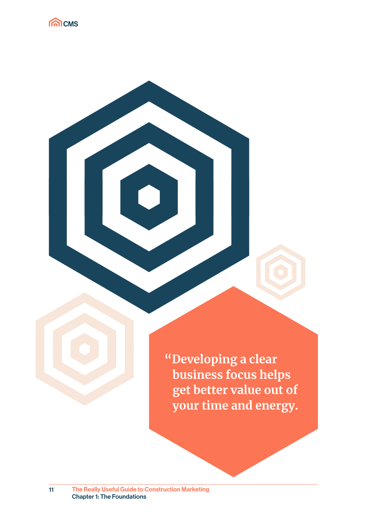

 **"Developing a clear business focus helps get better value out of your time and energy.**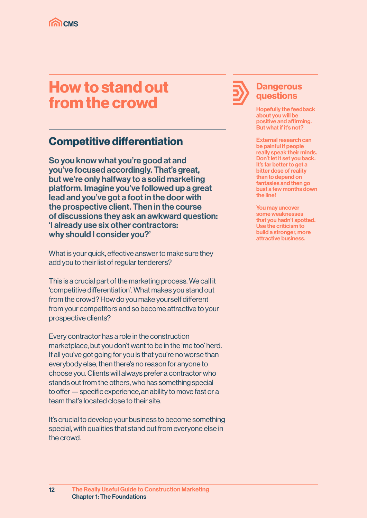

# How to stand out from the crowd

## Competitive differentiation

So you know what you're good at and you've focused accordingly. That's great, but we're only halfway to a solid marketing platform. Imagine you've followed up a great lead and you've got a foot in the door with the prospective client. Then in the course of discussions they ask an awkward question: 'I already use six other contractors: why should I consider you?'

What is your quick, effective answer to make sure they add you to their list of regular tenderers?

This is a crucial part of the marketing process. We call it 'competitive differentiation'. What makes you stand out from the crowd? How do you make yourself different from your competitors and so become attractive to your prospective clients?

Every contractor has a role in the construction marketplace, but you don't want to be in the 'me too' herd. If all you've got going for you is that you're no worse than everybody else, then there's no reason for anyone to choose you. Clients will always prefer a contractor who stands out from the others, who has something special to offer — specific experience, an ability to move fast or a team that's located close to their site.

It's crucial to develop your business to become something special, with qualities that stand out from everyone else in the crowd.



#### **Dangerous** questions

Hopefully the feedback about you will be positive and affirming. But what if it's not?

External research can be painful if people really speak their minds. Don't let it set you back. It's far better to get a bitter dose of reality than to depend on fantasies and then go bust a few months down the line!

You may uncover some weaknesses that you hadn't spotted. Use the criticism to build a stronger, more attractive business.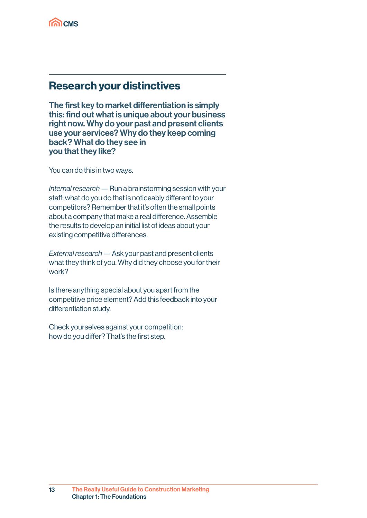

#### Research your distinctives

The first key to market differentiation is simply this: find out what is unique about your business right now. Why do your past and present clients use your services? Why do they keep coming back? What do they see in you that they like?

You can do this in two ways.

*Internal research* — Run a brainstorming session with your staff: what do you do that is noticeably different to your competitors? Remember that it's often the small points about a company that make a real difference. Assemble the results to develop an initial list of ideas about your existing competitive differences.

*External research* — Ask your past and present clients what they think of you. Why did they choose you for their work?

Is there anything special about you apart from the competitive price element? Add this feedback into your differentiation study.

Check yourselves against your competition: how do you differ? That's the first step.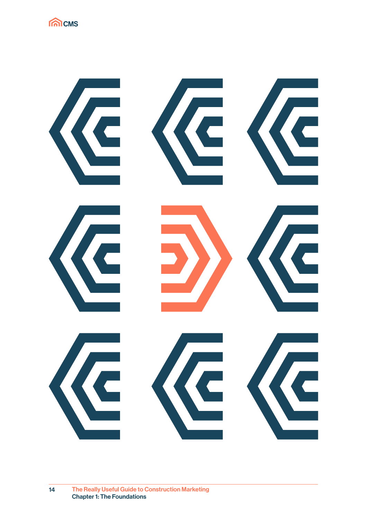

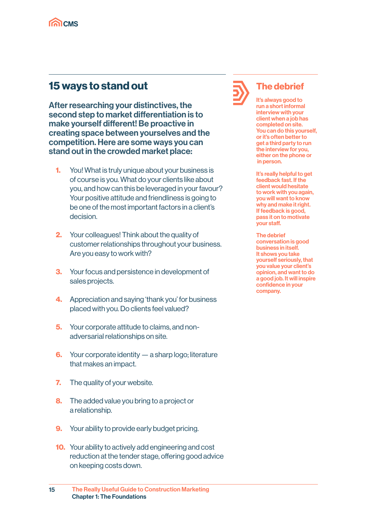

## 15 ways to stand out

After researching your distinctives, the second step to market differentiation is to make yourself different! Be proactive in creating space between yourselves and the competition. Here are some ways you can stand out in the crowded market place:

- 1. You! What is truly unique about your business is of course is you. What do your clients like about you, and how can this be leveraged in your favour? Your positive attitude and friendliness is going to be one of the most important factors in a client's decision.
- 2. Your colleagues! Think about the quality of customer relationships throughout your business. Are you easy to work with?
- **3.** Your focus and persistence in development of sales projects.
- 4. Appreciation and saying 'thank you' for business placed with you. Do clients feel valued?
- **5.** Your corporate attitude to claims, and nonadversarial relationships on site.
- 6. Your corporate identity a sharp logo; literature that makes an impact.
- **7.** The quality of your website.
- 8. The added value you bring to a project or a relationship.
- **9.** Your ability to provide early budget pricing.
- **10.** Your ability to actively add engineering and cost reduction at the tender stage, offering good advice on keeping costs down.



#### The debrief

It's always good to run a short informal interview with your client when a job has completed on site. You can do this yourself, or it's often better to get a third party to run the interview for you, either on the phone or in person.

It's really helpful to get feedback fast. If the client would hesitate to work with you again, you will want to know why and make it right. If feedback is good, pass it on to motivate your staff.

The debrief conversation is good business in itself. It shows you take yourself seriously, that you value your client's opinion, and want to do a good job. It will inspire confidence in your company.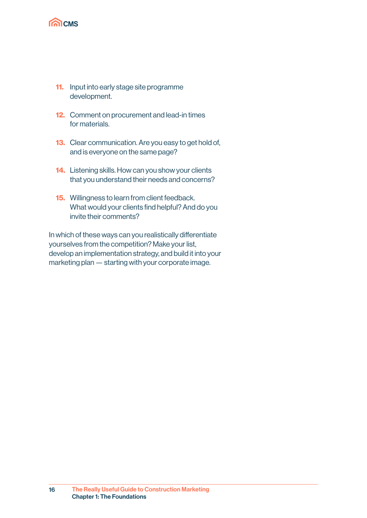

- **11.** Input into early stage site programme development.
- 12. Comment on procurement and lead-in times for materials.
- **13.** Clear communication. Are you easy to get hold of, and is everyone on the same page?
- **14.** Listening skills. How can you show your clients that you understand their needs and concerns?
- **15.** Willingness to learn from client feedback. What would your clients find helpful? And do you invite their comments?

In which of these ways can you realistically differentiate yourselves from the competition? Make your list, develop an implementation strategy, and build it into your marketing plan — starting with your corporate image.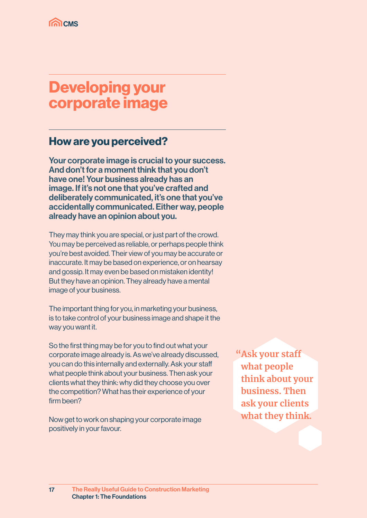# Developing your corporate image

## How are you perceived?

Your corporate image is crucial to your success. And don't for a moment think that you don't have one! Your business already has an image. If it's not one that you've crafted and deliberately communicated, it's one that you've accidentally communicated. Either way, people already have an opinion about you.

They may think you are special, or just part of the crowd. You may be perceived as reliable, or perhaps people think you're best avoided. Their view of you may be accurate or inaccurate. It may be based on experience, or on hearsay and gossip. It may even be based on mistaken identity! But they have an opinion. They already have a mental image of your business.

The important thing for you, in marketing your business, is to take control of your business image and shape it the way you want it.

So the first thing may be for you to find out what your corporate image already is. As we've already discussed, you can do this internally and externally. Ask your staff what people think about your business. Then ask your clients what they think: why did they choose you over the competition? What has their experience of your firm been?

Now get to work on shaping your corporate image positively in your favour.

 **"Ask your staff what people think about your business. Then ask your clients what they think.**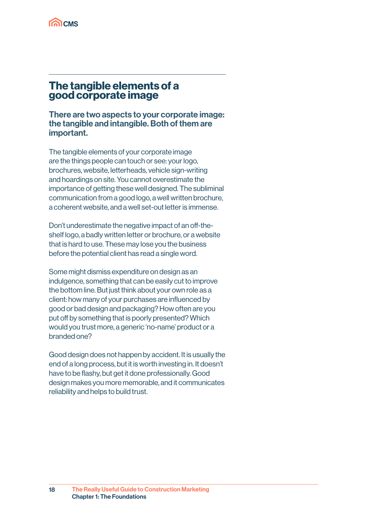

#### The tangible elements of a good corporate image

There are two aspects to your corporate image: the tangible and intangible. Both of them are important.

The tangible elements of your corporate image are the things people can touch or see: your logo, brochures, website, letterheads, vehicle sign-writing and hoardings on site. You cannot overestimate the importance of getting these well designed. The subliminal communication from a good logo, a well written brochure, a coherent website, and a well set-out letter is immense.

Don't underestimate the negative impact of an off-theshelf logo, a badly written letter or brochure, or a website that is hard to use. These may lose you the business before the potential client has read a single word.

Some might dismiss expenditure on design as an indulgence, something that can be easily cut to improve the bottom line. But just think about your own role as a client: how many of your purchases are influenced by good or bad design and packaging? How often are you put off by something that is poorly presented? Which would you trust more, a generic 'no-name' product or a branded one?

Good design does not happen by accident. It is usually the end of a long process, but it is worth investing in. It doesn't have to be flashy, but get it done professionally. Good design makes you more memorable, and it communicates reliability and helps to build trust.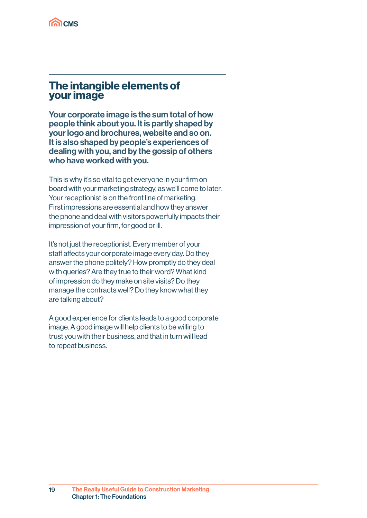

#### The intangible elements of your image

Your corporate image is the sum total of how people think about you. It is partly shaped by your logo and brochures, website and so on. It is also shaped by people's experiences of dealing with you, and by the gossip of others who have worked with you.

This is why it's so vital to get everyone in your firm on board with your marketing strategy, as we'll come to later. Your receptionist is on the front line of marketing. First impressions are essential and how they answer the phone and deal with visitors powerfully impacts their impression of your firm, for good or ill.

It's not just the receptionist. Every member of your staff affects your corporate image every day. Do they answer the phone politely? How promptly do they deal with queries? Are they true to their word? What kind of impression do they make on site visits? Do they manage the contracts well? Do they know what they are talking about?

A good experience for clients leads to a good corporate image. A good image will help clients to be willing to trust you with their business, and that in turn will lead to repeat business.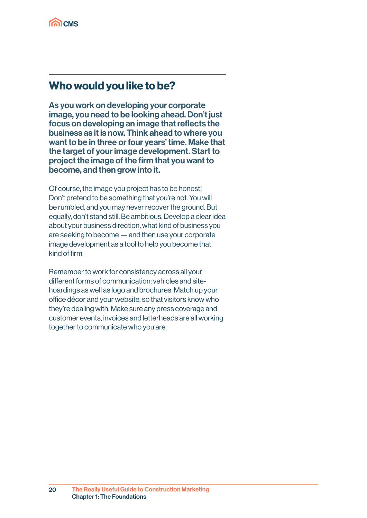

#### Who would you like to be?

As you work on developing your corporate image, you need to be looking ahead. Don't just focus on developing an image that reflects the business as it is now. Think ahead to where you want to be in three or four years' time. Make that the target of your image development. Start to project the image of the firm that you want to become, and then grow into it.

Of course, the image you project has to be honest! Don't pretend to be something that you're not. You will be rumbled, and you may never recover the ground. But equally, don't stand still. Be ambitious. Develop a clear idea about your business direction, what kind of business you are seeking to become — and then use your corporate image development as a tool to help you become that kind of firm.

Remember to work for consistency across all your different forms of communication: vehicles and sitehoardings as well as logo and brochures. Match up your office décor and your website, so that visitors know who they're dealing with. Make sure any press coverage and customer events, invoices and letterheads are all working together to communicate who you are.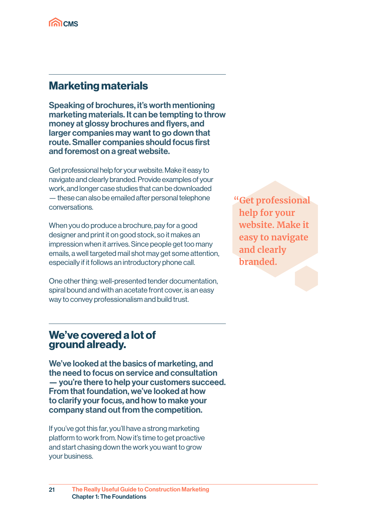

#### Marketing materials

Speaking of brochures, it's worth mentioning marketing materials. It can be tempting to throw money at glossy brochures and flyers, and larger companies may want to go down that route. Smaller companies should focus first and foremost on a great website.

Get professional help for your website. Make it easy to navigate and clearly branded. Provide examples of your work, and longer case studies that can be downloaded — these can also be emailed after personal telephone conversations.

When you do produce a brochure, pay for a good designer and print it on good stock, so it makes an impression when it arrives. Since people get too many emails, a well targeted mail shot may get some attention, especially if it follows an introductory phone call.

One other thing: well-presented tender documentation, spiral bound and with an acetate front cover, is an easy way to convey professionalism and build trust.

 **"Get professional help for your website. Make it easy to navigate and clearly branded.** 

#### We've covered a lot of ground already.

We've looked at the basics of marketing, and the need to focus on service and consultation — you're there to help your customers succeed. From that foundation, we've looked at how to clarify your focus, and how to make your company stand out from the competition.

If you've got this far, you'll have a strong marketing platform to work from. Now it's time to get proactive and start chasing down the work you want to grow your business.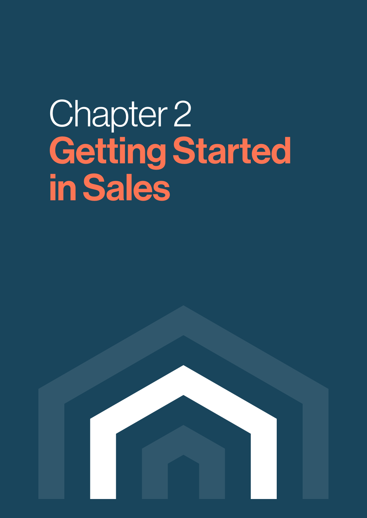# Chapter 2 Getting Started in Sales

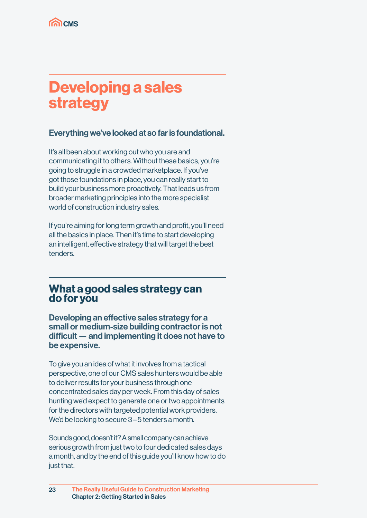

# Developing a sales strategy

#### Everything we've looked at so far is foundational.

It's all been about working out who you are and communicating it to others. Without these basics, you're going to struggle in a crowded marketplace. If you've got those foundations in place, you can really start to build your business more proactively. That leads us from broader marketing principles into the more specialist world of construction industry sales.

If you're aiming for long term growth and profit, you'll need all the basics in place. Then it's time to start developing an intelligent, effective strategy that will target the best tenders.

#### What a good sales strategy can do for you

Developing an effective sales strategy for a small or medium-size building contractor is not difficult — and implementing it does not have to be expensive.

To give you an idea of what it involves from a tactical perspective, one of our CMS sales hunters would be able to deliver results for your business through one concentrated sales day per week. From this day of sales hunting we'd expect to generate one or two appointments for the directors with targeted potential work providers. We'd be looking to secure 3 – 5 tenders a month.

Sounds good, doesn't it? A small company can achieve serious growth from just two to four dedicated sales days a month, and by the end of this guide you'll know how to do just that.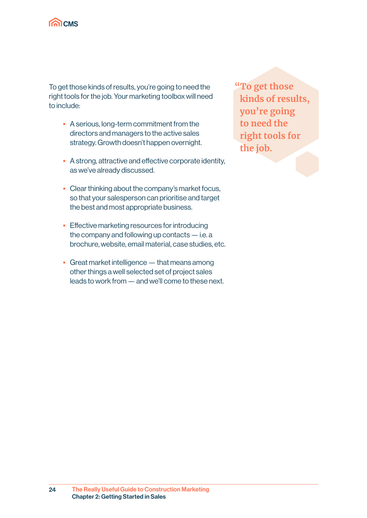

To get those kinds of results, you're going to need the right tools for the job. Your marketing toolbox will need to include:

- A serious, long-term commitment from the directors and managers to the active sales strategy. Growth doesn't happen overnight.
- A strong, attractive and effective corporate identity, as we've already discussed.
- Clear thinking about the company's market focus, so that your salesperson can prioritise and target the best and most appropriate business.
- Effective marketing resources for introducing the company and following up contacts — i.e. a brochure, website, email material, case studies, etc.
- Great market intelligence that means among other things a well selected set of project sales leads to work from — and we'll come to these next.

 **"To get those kinds of results, you're going to need the right tools for the job.**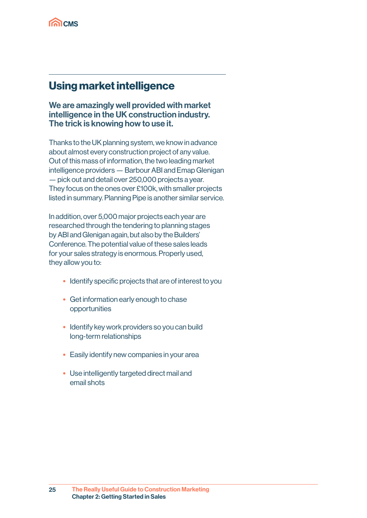

## Using market intelligence

We are amazingly well provided with market intelligence in the UK construction industry. The trick is knowing how to use it.

Thanks to the UK planning system, we know in advance about almost every construction project of any value. Out of this mass of information, the two leading market intelligence providers — Barbour ABI and Emap Glenigan — pick out and detail over 250,000 projects a year. They focus on the ones over £100k, with smaller projects listed in summary. Planning Pipe is another similar service.

In addition, over 5,000 major projects each year are researched through the tendering to planning stages by ABI and Glenigan again, but also by the Builders' Conference. The potential value of these sales leads for your sales strategy is enormous. Properly used, they allow you to:

- Identify specific projects that are of interest to you
- Get information early enough to chase opportunities
- Identify key work providers so you can build long-term relationships
- Easily identify new companies in your area
- Use intelligently targeted direct mail and email shots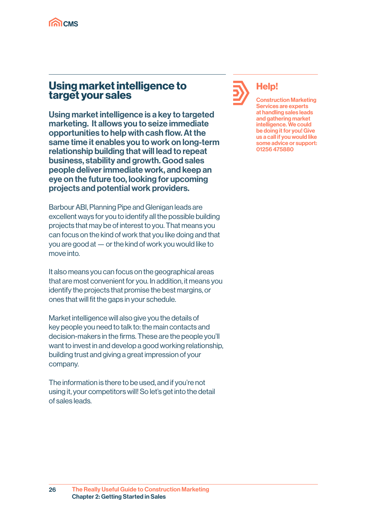

#### Using market intelligence to target your sales

Using market intelligence is a key to targeted marketing. It allows you to seize immediate opportunities to help with cash flow. At the same time it enables you to work on long-term relationship building that will lead to repeat business, stability and growth. Good sales people deliver immediate work, and keep an eye on the future too, looking for upcoming projects and potential work providers.

Barbour ABI, Planning Pipe and Glenigan leads are excellent ways for you to identify all the possible building projects that may be of interest to you. That means you can focus on the kind of work that you like doing and that you are good at — or the kind of work you would like to move into.

It also means you can focus on the geographical areas that are most convenient for you. In addition, it means you identify the projects that promise the best margins, or ones that will fit the gaps in your schedule.

Market intelligence will also give you the details of key people you need to talk to: the main contacts and decision-makers in the firms. These are the people you'll want to invest in and develop a good working relationship, building trust and giving a great impression of your company.

The information is there to be used, and if you're not using it, your competitors will! So let's get into the detail of sales leads.



#### Help!

Construction Marketing Services are experts at handling sales leads and gathering market intelligence. We could be doing it for you! Give us a call if you would like some advice or support: 01256 475880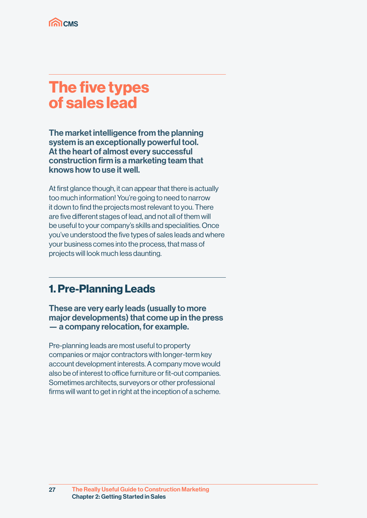

# The five types of sales lead

The market intelligence from the planning system is an exceptionally powerful tool. At the heart of almost every successful construction firm is a marketing team that knows how to use it well.

At first glance though, it can appear that there is actually too much information! You're going to need to narrow it down to find the projects most relevant to you. There are five different stages of lead, and not all of them will be useful to your company's skills and specialities. Once you've understood the five types of sales leads and where your business comes into the process, that mass of projects will look much less daunting.

## 1. Pre-Planning Leads

These are very early leads (usually to more major developments) that come up in the press — a company relocation, for example.

Pre-planning leads are most useful to property companies or major contractors with longer-term key account development interests. A company move would also be of interest to office furniture or fit-out companies. Sometimes architects, surveyors or other professional firms will want to get in right at the inception of a scheme.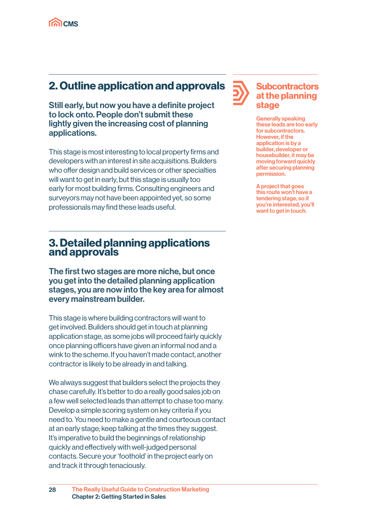# 2. Outline application and approvals

Still early, but now you have a definite project to lock onto. People don't submit these lightly given the increasing cost of planning applications.

This stage is most interesting to local property firms and developers with an interest in site acquisitions. Builders who offer design and build services or other specialties will want to get in early, but this stage is usually too early for most building firms. Consulting engineers and surveyors may not have been appointed yet, so some professionals may find these leads useful.

#### 3. Detailed planning applications and approvals

The first two stages are more niche, but once you get into the detailed planning application stages, you are now into the key area for almost every mainstream builder.

This stage is where building contractors will want to get involved. Builders should get in touch at planning application stage, as some jobs will proceed fairly quickly once planning officers have given an informal nod and a wink to the scheme. If you haven't made contact, another contractor is likely to be already in and talking.

We always suggest that builders select the projects they chase carefully. It's better to do a really good sales job on a few well selected leads than attempt to chase too many. Develop a simple scoring system on key criteria if you need to. You need to make a gentle and courteous contact at an early stage; keep talking at the times they suggest. It's imperative to build the beginnings of relationship quickly and effectively with well-judged personal contacts. Secure your 'foothold' in the project early on and track it through tenaciously.



Generally speaking these leads are too early for subcontractors. However, if the application is by a builder, developer or housebuilder, it may be moving forward quickly after securing planning permission.

A project that goes this route won't have a tendering stage, so if you're interested, you'll want to get in touch.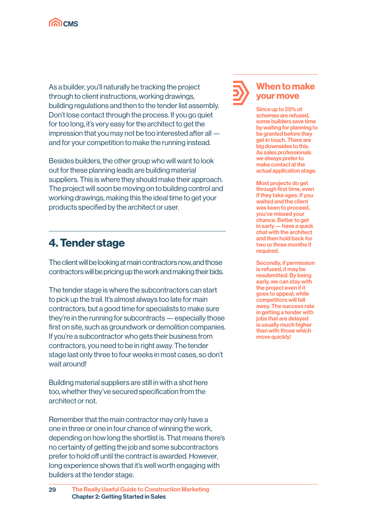

As a builder, you'll naturally be tracking the project through to client instructions, working drawings, building regulations and then to the tender list assembly. Don't lose contact through the process. If you go quiet for too long, it's very easy for the architect to get the impression that you may not be too interested after all and for your competition to make the running instead.

Besides builders, the other group who will want to look out for these planning leads are building material suppliers. This is where they should make their approach. The project will soon be moving on to building control and working drawings, making this the ideal time to get your products specified by the architect or user.

## 4. Tender stage

The client will be looking at main contractors now, and those contractors will be pricing up the work and making their bids.

The tender stage is where the subcontractors can start to pick up the trail. It's almost always too late for main contractors, but a good time for specialists to make sure they're in the running for subcontracts — especially those first on site, such as groundwork or demolition companies. If you're a subcontractor who gets their business from contractors, you need to be in right away. The tender stage last only three to four weeks in most cases, so don't wait around!

Building material suppliers are still in with a shot here too, whether they've secured specification from the architect or not.

Remember that the main contractor may only have a one in three or one in four chance of winning the work, depending on how long the shortlist is. That means there's no certainty of getting the job and some subcontractors prefer to hold off until the contract is awarded. However, long experience shows that it's well worth engaging with builders at the tender stage.

#### When to make your move

Since up to 25% of schemes are refused, some builders save time by waiting for planning to be granted before they get in touch. There are big downsides to this. As sales professionals we always prefer to make contact at the actual application stage.

Most projects do get through first time, even if they take ages. If you waited and the client was keen to proceed, you've missed your chance. Better to get in early — have a quick chat with the architect and then hold back for two or three months if required.

Secondly, if permission is refused, it may be resubmitted. By being early, we can stay with the project even if it goes to appeal, while competitors will fall away. The success rate in getting a tender with jobs that are delayed is usually much higher than with those which move quickly!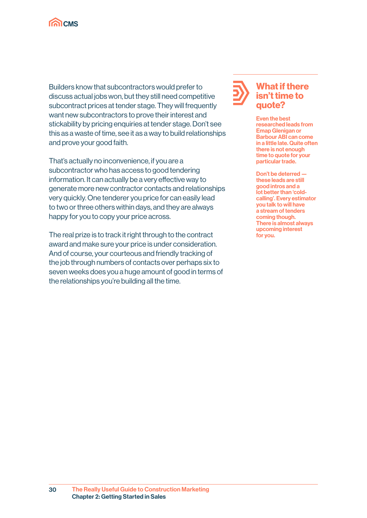

Builders know that subcontractors would prefer to discuss actual jobs won, but they still need competitive subcontract prices at tender stage. They will frequently want new subcontractors to prove their interest and stickability by pricing enquiries at tender stage. Don't see this as a waste of time, see it as a way to build relationships and prove your good faith.

That's actually no inconvenience, if you are a subcontractor who has access to good tendering information. It can actually be a very effective way to generate more new contractor contacts and relationships very quickly. One tenderer you price for can easily lead to two or three others within days, and they are always happy for you to copy your price across.

The real prize is to track it right through to the contract award and make sure your price is under consideration. And of course, your courteous and friendly tracking of the job through numbers of contacts over perhaps six to seven weeks does you a huge amount of good in terms of the relationships you're building all the time.

#### What if there isn't time to quote?

Even the best researched leads from Emap Glenigan or Barbour ABI can come in a little late. Quite often there is not enough time to quote for your particular trade.

Don't be deterred these leads are still good intros and a lot better than 'coldcalling'. Every estimator you talk to will have a stream of tenders coming though. There is almost always upcoming interest for you.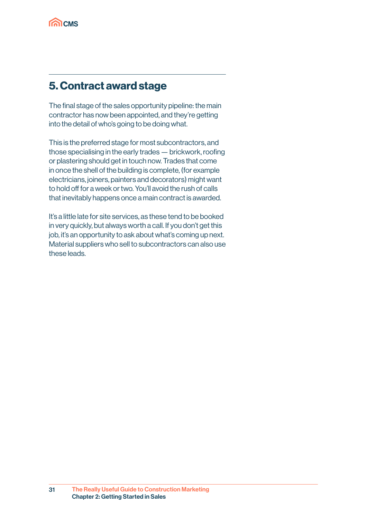

## 5. Contract award stage

The final stage of the sales opportunity pipeline: the main contractor has now been appointed, and they're getting into the detail of who's going to be doing what.

This is the preferred stage for most subcontractors, and those specialising in the early trades — brickwork, roofing or plastering should get in touch now. Trades that come in once the shell of the building is complete, (for example electricians, joiners, painters and decorators) might want to hold off for a week or two. You'll avoid the rush of calls that inevitably happens once a main contract is awarded.

It's a little late for site services, as these tend to be booked in very quickly, but always worth a call. If you don't get this job, it's an opportunity to ask about what's coming up next. Material suppliers who sell to subcontractors can also use these leads.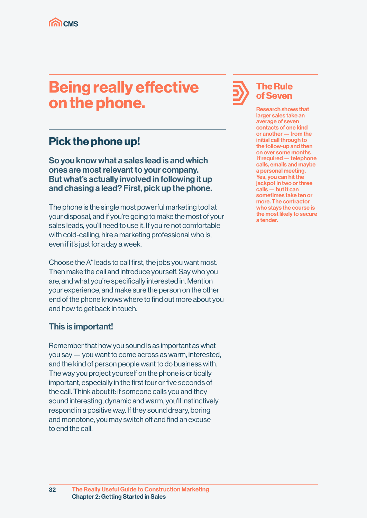# Being really effective on the phone.

## Pick the phone up!

So you know what a sales lead is and which ones are most relevant to your company. But what's actually involved in following it up and chasing a lead? First, pick up the phone.

The phone is the single most powerful marketing tool at your disposal, and if you're going to make the most of your sales leads, you'll need to use it. If you're not comfortable with cold-calling, hire a marketing professional who is, even if it's just for a day a week.

Choose the A\* leads to call first, the jobs you want most. Then make the call and introduce yourself. Say who you are, and what you're specifically interested in. Mention your experience, and make sure the person on the other end of the phone knows where to find out more about you and how to get back in touch.

#### This is important!

Remember that how you sound is as important as what you say — you want to come across as warm, interested, and the kind of person people want to do business with. The way you project yourself on the phone is critically important, especially in the first four or five seconds of the call. Think about it: if someone calls you and they sound interesting, dynamic and warm, you'll instinctively respond in a positive way. If they sound dreary, boring and monotone, you may switch off and find an excuse to end the call.



#### The Rule of Seven

Research shows that larger sales take an average of seven contacts of one kind or another — from the initial call through to the follow-up and then on over some months if required — telephone calls, emails and maybe a personal meeting. Yes, you can hit the jackpot in two or three calls — but it can sometimes take ten or more. The contractor who stays the course is the most likely to secure a tender.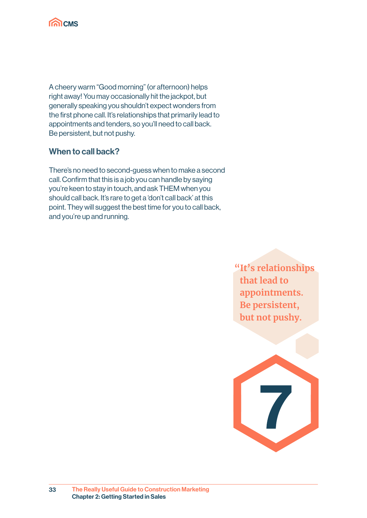

A cheery warm "Good morning" (or afternoon) helps right away! You may occasionally hit the jackpot, but generally speaking you shouldn't expect wonders from the first phone call. It's relationships that primarily lead to appointments and tenders, so you'll need to call back. Be persistent, but not pushy.

#### When to call back?

There's no need to second-guess when to make a second call. Confirm that this is a job you can handle by saying you're keen to stay in touch, and ask THEM when you should call back. It's rare to get a 'don't call back' at this point. They will suggest the best time for you to call back, and you're up and running.

> **"It's relationships that lead to appointments. Be persistent, but not pushy.**

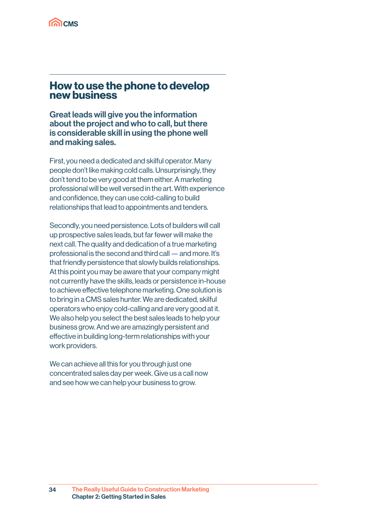

#### How to use the phone to develop new business

Great leads will give you the information about the project and who to call, but there is considerable skill in using the phone well and making sales.

First, you need a dedicated and skilful operator. Many people don't like making cold calls. Unsurprisingly, they don't tend to be very good at them either. A marketing professional will be well versed in the art. With experience and confidence, they can use cold-calling to build relationships that lead to appointments and tenders.

Secondly, you need persistence. Lots of builders will call up prospective sales leads, but far fewer will make the next call. The quality and dedication of a true marketing professional is the second and third call — and more. It's that friendly persistence that slowly builds relationships. At this point you may be aware that your company might not currently have the skills, leads or persistence in-house to achieve effective telephone marketing. One solution is to bring in a CMS sales hunter. We are dedicated, skilful operators who enjoy cold-calling and are very good at it. We also help you select the best sales leads to help your business grow. And we are amazingly persistent and effective in building long-term relationships with your work providers.

We can achieve all this for you through just one concentrated sales day per week. Give us a call now and see how we can help your business to grow.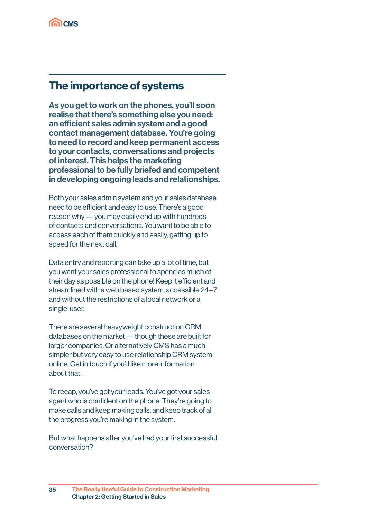

#### The importance of systems

As you get to work on the phones, you'll soon realise that there's something else you need: an efficient sales admin system and a good contact management database. You're going to need to record and keep permanent access to your contacts, conversations and projects of interest. This helps the marketing professional to be fully briefed and competent in developing ongoing leads and relationships.

Both your sales admin system and your sales database need to be efficient and easy to use. There's a good reason why — you may easily end up with hundreds of contacts and conversations. You want to be able to access each of them quickly and easily, getting up to speed for the next call.

Data entry and reporting can take up a lot of time, but you want your sales professional to spend as much of their day as possible on the phone! Keep it efficient and streamlined with a web based system, accessible 24 – 7 and without the restrictions of a local network or a single-user.

There are several heavyweight construction CRM databases on the market — though these are built for larger companies. Or alternatively CMS has a much simpler but very easy to use relationship CRM system online. Get in touch if you'd like more information about that.

To recap, you've got your leads. You've got your sales agent who is confident on the phone. They're going to make calls and keep making calls, and keep track of all the progress you're making in the system.

But what happens after you've had your first successful conversation?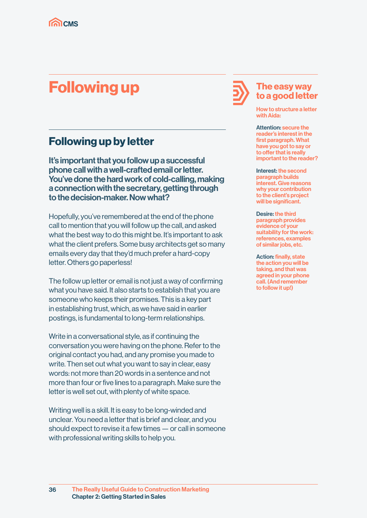

# Following up

## Following up by letter

It's important that you follow up a successful phone call with a well-crafted email or letter. You've done the hard work of cold-calling, making a connection with the secretary, getting through to the decision-maker. Now what?

Hopefully, you've remembered at the end of the phone call to mention that you will follow up the call, and asked what the best way to do this might be. It's important to ask what the client prefers. Some busy architects get so many emails every day that they'd much prefer a hard-copy letter. Others go paperless!

The follow up letter or email is not just a way of confirming what you have said. It also starts to establish that you are someone who keeps their promises. This is a key part in establishing trust, which, as we have said in earlier postings, is fundamental to long-term relationships.

Write in a conversational style, as if continuing the conversation you were having on the phone. Refer to the original contact you had, and any promise you made to write. Then set out what you want to say in clear, easy words: not more than 20 words in a sentence and not more than four or five lines to a paragraph. Make sure the letter is well set out, with plenty of white space.

Writing well is a skill. It is easy to be long-winded and unclear. You need a letter that is brief and clear, and you should expect to revise it a few times — or call in someone with professional writing skills to help you.



#### The easy way to a good letter

How to structure a letter with Aida:

Attention: secure the reader's interest in the first paragraph. What have you got to say or to offer that is really important to the reader?

Interest: the second paragraph builds interest. Give reasons why your contribution to the client's project will be significant.

Desire: the third paragraph provides evidence of your suitability for the work: references, examples of similar jobs, etc.

Action: finally, state the action you will be taking, and that was agreed in your phone call. (And remember to follow it up!)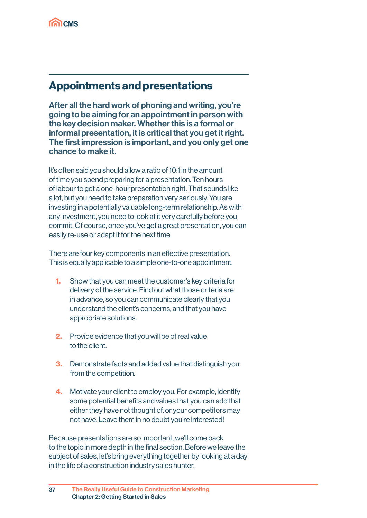

## Appointments and presentations

After all the hard work of phoning and writing, you're going to be aiming for an appointment in person with the key decision maker. Whether this is a formal or informal presentation, it is critical that you get it right. The first impression is important, and you only get one chance to make it.

It's often said you should allow a ratio of 10:1 in the amount of time you spend preparing for a presentation. Ten hours of labour to get a one-hour presentation right. That sounds like a lot, but you need to take preparation very seriously. You are investing in a potentially valuable long-term relationship. As with any investment, you need to look at it very carefully before you commit. Of course, once you've got a great presentation, you can easily re-use or adapt it for the next time.

There are four key components in an effective presentation. This is equally applicable to a simple one-to-one appointment.

- 1. Show that you can meet the customer's key criteria for delivery of the service. Find out what those criteria are in advance, so you can communicate clearly that you understand the client's concerns, and that you have appropriate solutions.
- 2. Provide evidence that you will be of real value to the client.
- **3.** Demonstrate facts and added value that distinguish you from the competition.
- 4. Motivate your client to employ you. For example, identify some potential benefits and values that you can add that either they have not thought of, or your competitors may not have. Leave them in no doubt you're interested!

Because presentations are so important, we'll come back to the topic in more depth in the final section. Before we leave the subject of sales, let's bring everything together by looking at a day in the life of a construction industry sales hunter.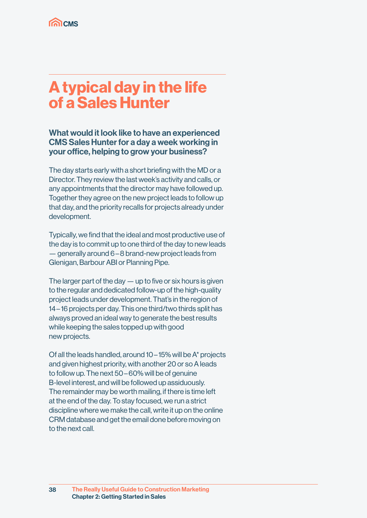

# A typical day in the life of a Sales Hunter

#### What would it look like to have an experienced CMS Sales Hunter for a day a week working in your office, helping to grow your business?

The day starts early with a short briefing with the MD or a Director. They review the last week's activity and calls, or any appointments that the director may have followed up. Together they agree on the new project leads to follow up that day, and the priority recalls for projects already under development.

Typically, we find that the ideal and most productive use of the day is to commit up to one third of the day to new leads — generally around 6 – 8 brand-new project leads from Glenigan, Barbour ABI or Planning Pipe.

The larger part of the day — up to five or six hours is given to the regular and dedicated follow-up of the high-quality project leads under development. That's in the region of 14 – 16 projects per day. This one third/two thirds split has always proved an ideal way to generate the best results while keeping the sales topped up with good new projects.

Of all the leads handled, around 10 – 15% will be A\* projects and given highest priority, with another 20 or so A leads to follow up. The next 50 – 60% will be of genuine B-level interest, and will be followed up assiduously. The remainder may be worth mailing, if there is time left at the end of the day. To stay focused, we run a strict discipline where we make the call, write it up on the online CRM database and get the email done before moving on to the next call.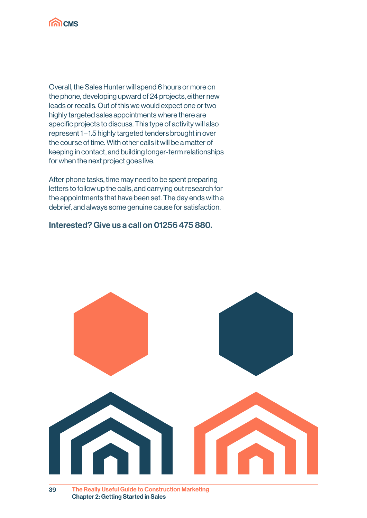

Overall, the Sales Hunter will spend 6 hours or more on the phone, developing upward of 24 projects, either new leads or recalls. Out of this we would expect one or two highly targeted sales appointments where there are specific projects to discuss. This type of activity will also represent 1 – 1.5 highly targeted tenders brought in over the course of time. With other calls it will be a matter of keeping in contact, and building longer-term relationships for when the next project goes live.

After phone tasks, time may need to be spent preparing letters to follow up the calls, and carrying out research for the appointments that have been set. The day ends with a debrief, and always some genuine cause for satisfaction.

#### Interested? Give us a call on 01256 475 880.

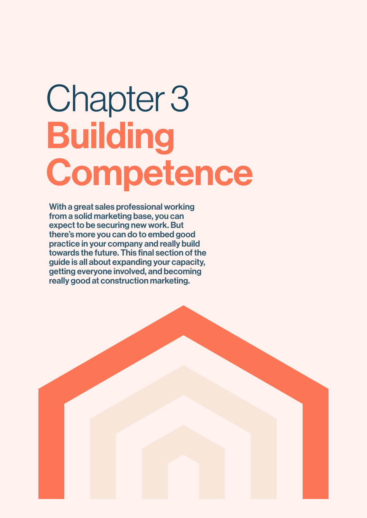# Chapter 3 Building Competence

With a great sales professional working from a solid marketing base, you can expect to be securing new work. But there's more you can do to embed good practice in your company and really build towards the future. This final section of the guide is all about expanding your capacity, getting everyone involved, and becoming really good at construction marketing.

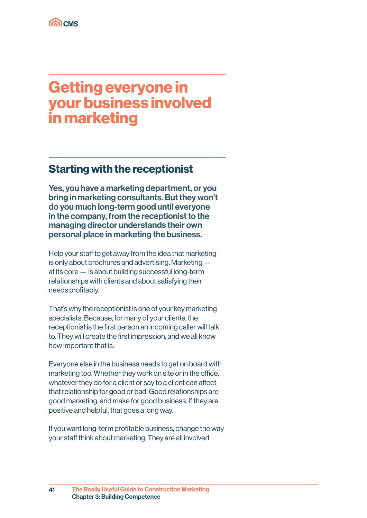# Getting everyone in your business involved in marketing

# Starting with the receptionist

Yes, you have a marketing department, or you bring in marketing consultants. But they won't do you much long-term good until everyone in the company, from the receptionist to the managing director understands their own personal place in marketing the business.

Help your staff to get away from the idea that marketing is only about brochures and advertising. Marketing at its core — is about building successful long-term relationships with clients and about satisfying their needs profitably.

That's why the receptionist is one of your key marketing specialists. Because, for many of your clients, the receptionist is the first person an incoming caller will talk to. They will create the first impression, and we all know how important that is.

Everyone else in the business needs to get on board with marketing too. Whether they work on site or in the office, whatever they do for a client or say to a client can affect that relationship for good or bad. Good relationships are good marketing, and make for good business. If they are positive and helpful, that goes a long way.

If you want long-term profitable business, change the way your staff think about marketing. They are all involved.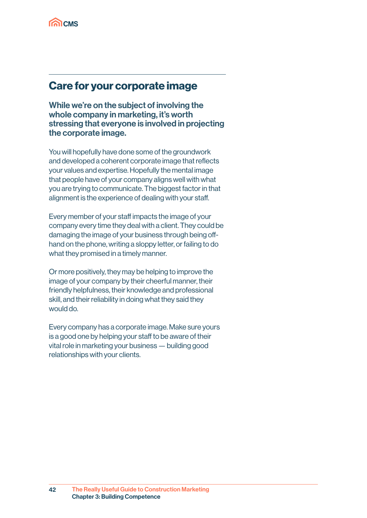

#### Care for your corporate image

While we're on the subject of involving the whole company in marketing, it's worth stressing that everyone is involved in projecting the corporate image.

You will hopefully have done some of the groundwork and developed a coherent corporate image that reflects your values and expertise. Hopefully the mental image that people have of your company aligns well with what you are trying to communicate. The biggest factor in that alignment is the experience of dealing with your staff.

Every member of your staff impacts the image of your company every time they deal with a client. They could be damaging the image of your business through being offhand on the phone, writing a sloppy letter, or failing to do what they promised in a timely manner.

Or more positively, they may be helping to improve the image of your company by their cheerful manner, their friendly helpfulness, their knowledge and professional skill, and their reliability in doing what they said they would do.

Every company has a corporate image. Make sure yours is a good one by helping your staff to be aware of their vital role in marketing your business — building good relationships with your clients.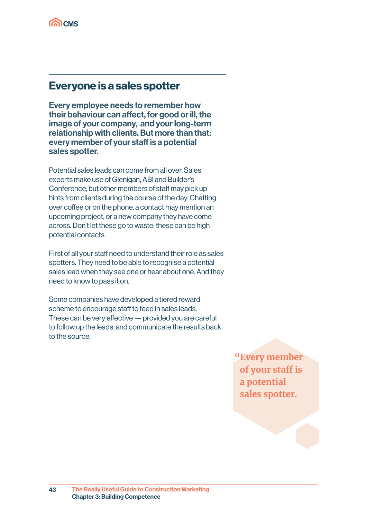

#### Everyone is a sales spotter

Every employee needs to remember how their behaviour can affect, for good or ill, the image of your company, and your long-term relationship with clients. But more than that: every member of your staff is a potential sales spotter.

Potential sales leads can come from all over. Sales experts make use of Glenigan, ABI and Builder's Conference, but other members of staff may pick up hints from clients during the course of the day. Chatting over coffee or on the phone, a contact may mention an upcoming project, or a new company they have come across. Don't let these go to waste: these can be high potential contacts.

First of all your staff need to understand their role as sales spotters. They need to be able to recognise a potential sales lead when they see one or hear about one. And they need to know to pass it on.

Some companies have developed a tiered reward scheme to encourage staff to feed in sales leads. These can be very effective — provided you are careful to follow up the leads, and communicate the results back to the source.

> **"Every member of your staff is a potential sales spotter.**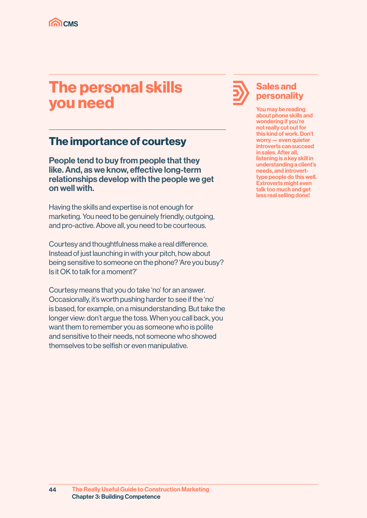# The personal skills you need

# The importance of courtesy

People tend to buy from people that they like. And, as we know, effective long-term relationships develop with the people we get on well with.

Having the skills and expertise is not enough for marketing. You need to be genuinely friendly, outgoing, and pro-active. Above all, you need to be courteous.

Courtesy and thoughtfulness make a real difference. Instead of just launching in with your pitch, how about being sensitive to someone on the phone? 'Are you busy? Is it OK to talk for a moment?'

Courtesy means that you do take 'no' for an answer. Occasionally, it's worth pushing harder to see if the 'no' is based, for example, on a misunderstanding. But take the longer view: don't argue the toss. When you call back, you want them to remember you as someone who is polite and sensitive to their needs, not someone who showed themselves to be selfish or even manipulative.



#### Sales and personality

You may be reading about phone skills and wondering if you're not really cut out for this kind of work. Don't worry — even quieter introverts can succeed in sales. After all, listening is a key skill in understanding a client's needs, and introverttype people do this well. Extroverts might even talk too much and get less real selling done!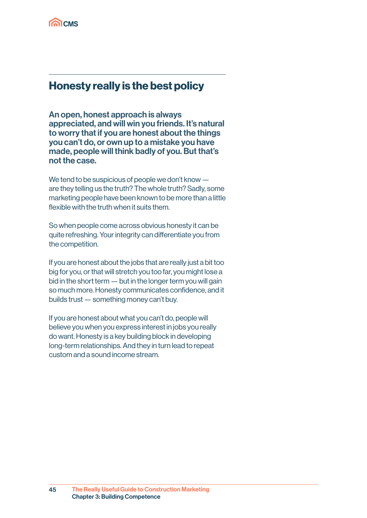

### Honesty really is the best policy

An open, honest approach is always appreciated, and will win you friends. It's natural to worry that if you are honest about the things you can't do, or own up to a mistake you have made, people will think badly of you. But that's not the case.

We tend to be suspicious of people we don't know are they telling us the truth? The whole truth? Sadly, some marketing people have been known to be more than a little flexible with the truth when it suits them.

So when people come across obvious honesty it can be quite refreshing. Your integrity can differentiate you from the competition.

If you are honest about the jobs that are really just a bit too big for you, or that will stretch you too far, you might lose a bid in the short term — but in the longer term you will gain so much more. Honesty communicates confidence, and it builds trust — something money can't buy.

If you are honest about what you can't do, people will believe you when you express interest in jobs you really do want. Honesty is a key building block in developing long-term relationships. And they in turn lead to repeat custom and a sound income stream.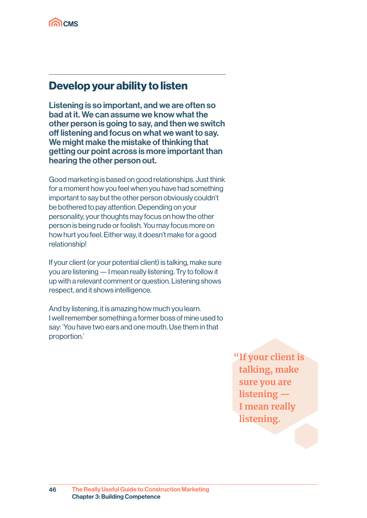

#### Develop your ability to listen

Listening is so important, and we are often so bad at it. We can assume we know what the other person is going to say, and then we switch off listening and focus on what we want to say. We might make the mistake of thinking that getting our point across is more important than hearing the other person out.

Good marketing is based on good relationships. Just think for a moment how you feel when you have had something important to say but the other person obviously couldn't be bothered to pay attention. Depending on your personality, your thoughts may focus on how the other person is being rude or foolish. You may focus more on how hurt you feel. Either way, it doesn't make for a good relationship!

If your client (or your potential client) is talking, make sure you are listening — I mean really listening. Try to follow it up with a relevant comment or question. Listening shows respect, and it shows intelligence.

And by listening, it is amazing how much you learn. I well remember something a former boss of mine used to say: 'You have two ears and one mouth. Use them in that proportion.'

> **"If your client is talking, make sure you are listening — I mean really listening.**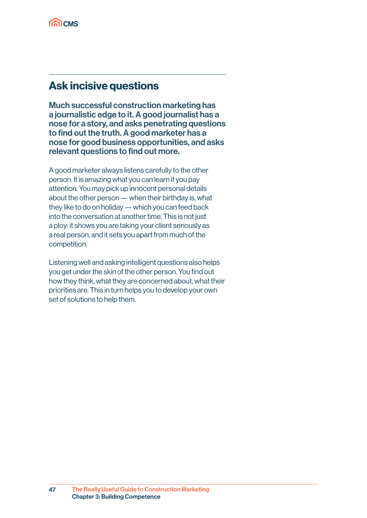

## Ask incisive questions

Much successful construction marketing has a journalistic edge to it. A good journalist has a nose for a story, and asks penetrating questions to find out the truth. A good marketer has a nose for good business opportunities, and asks relevant questions to find out more.

A good marketer always listens carefully to the other person. It is amazing what you can learn if you pay attention. You may pick up innocent personal details about the other person — when their birthday is, what they like to do on holiday — which you can feed back into the conversation at another time. This is not just a ploy: it shows you are taking your client seriously as a real person, and it sets you apart from much of the competition.

Listening well and asking intelligent questions also helps you get under the skin of the other person. You find out how they think, what they are concerned about, what their priorities are. This in turn helps you to develop your own set of solutions to help them.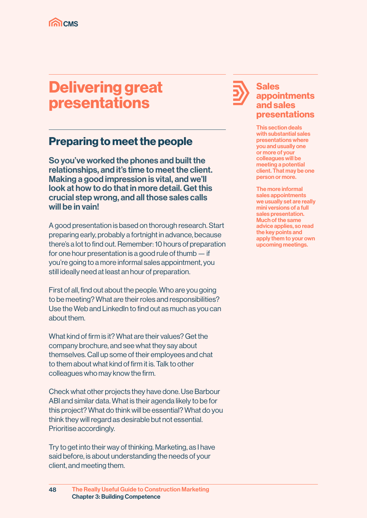# Delivering great presentations

# Preparing to meet the people

So you've worked the phones and built the relationships, and it's time to meet the client. Making a good impression is vital, and we'll look at how to do that in more detail. Get this crucial step wrong, and all those sales calls will be in vain!

A good presentation is based on thorough research. Start preparing early, probably a fortnight in advance, because there's a lot to find out. Remember: 10 hours of preparation for one hour presentation is a good rule of thumb — if you're going to a more informal sales appointment, you still ideally need at least an hour of preparation.

First of all, find out about the people. Who are you going to be meeting? What are their roles and responsibilities? Use the Web and LinkedIn to find out as much as you can about them.

What kind of firm is it? What are their values? Get the company brochure, and see what they say about themselves. Call up some of their employees and chat to them about what kind of firm it is. Talk to other colleagues who may know the firm.

Check what other projects they have done. Use Barbour ABI and similar data. What is their agenda likely to be for this project? What do think will be essential? What do you think they will regard as desirable but not essential. Prioritise accordingly.

Try to get into their way of thinking. Marketing, as I have said before, is about understanding the needs of your client, and meeting them.



#### Sales appointments and sales presentations

This section deals with substantial sales presentations where you and usually one or more of your colleagues will be meeting a potential client. That may be one person or more.

The more informal sales appointments we usually set are really mini versions of a full sales presentation. Much of the same advice applies, so read the key points and apply them to your own upcoming meetings.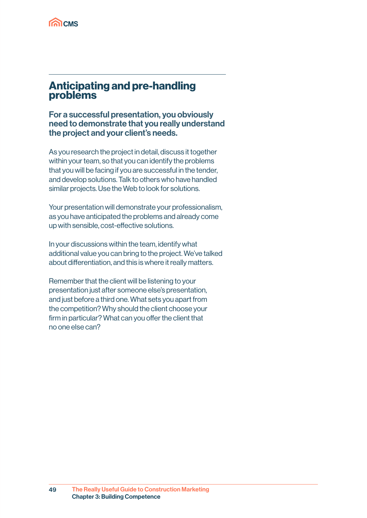

#### Anticipating and pre-handling problems

For a successful presentation, you obviously need to demonstrate that you really understand the project and your client's needs.

As you research the project in detail, discuss it together within your team, so that you can identify the problems that you will be facing if you are successful in the tender, and develop solutions. Talk to others who have handled similar projects. Use the Web to look for solutions.

Your presentation will demonstrate your professionalism, as you have anticipated the problems and already come up with sensible, cost-effective solutions.

In your discussions within the team, identify what additional value you can bring to the project. We've talked about differentiation, and this is where it really matters.

Remember that the client will be listening to your presentation just after someone else's presentation, and just before a third one. What sets you apart from the competition? Why should the client choose your firm in particular? What can you offer the client that no one else can?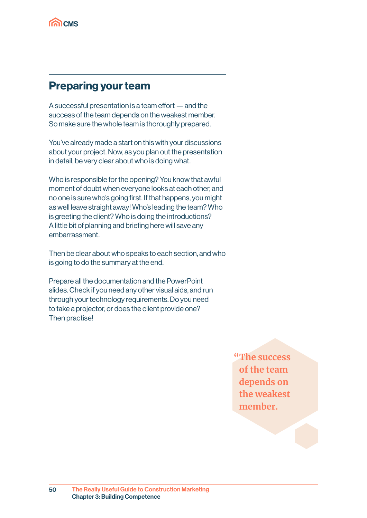

### Preparing your team

A successful presentation is a team effort — and the success of the team depends on the weakest member. So make sure the whole team is thoroughly prepared.

You've already made a start on this with your discussions about your project. Now, as you plan out the presentation in detail, be very clear about who is doing what.

Who is responsible for the opening? You know that awful moment of doubt when everyone looks at each other, and no one is sure who's going first. If that happens, you might as well leave straight away! Who's leading the team? Who is greeting the client? Who is doing the introductions? A little bit of planning and briefing here will save any embarrassment.

Then be clear about who speaks to each section, and who is going to do the summary at the end.

Prepare all the documentation and the PowerPoint slides. Check if you need any other visual aids, and run through your technology requirements. Do you need to take a projector, or does the client provide one? Then practise!

> **"The success of the team depends on the weakest member.**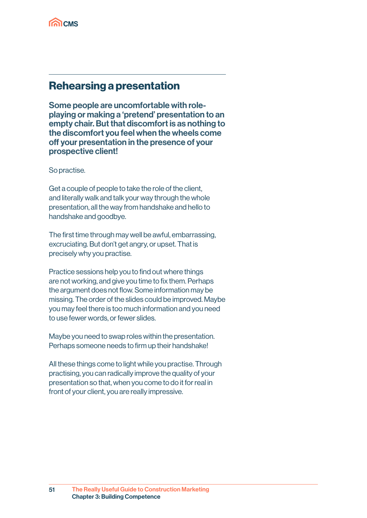

#### Rehearsing a presentation

Some people are uncomfortable with roleplaying or making a 'pretend' presentation to an empty chair. But that discomfort is as nothing to the discomfort you feel when the wheels come off your presentation in the presence of your prospective client!

So practise.

Get a couple of people to take the role of the client, and literally walk and talk your way through the whole presentation, all the way from handshake and hello to handshake and goodbye.

The first time through may well be awful, embarrassing, excruciating. But don't get angry, or upset. That is precisely why you practise.

Practice sessions help you to find out where things are not working, and give you time to fix them. Perhaps the argument does not flow. Some information may be missing. The order of the slides could be improved. Maybe you may feel there is too much information and you need to use fewer words, or fewer slides.

Maybe you need to swap roles within the presentation. Perhaps someone needs to firm up their handshake!

All these things come to light while you practise. Through practising, you can radically improve the quality of your presentation so that, when you come to do it for real in front of your client, you are really impressive.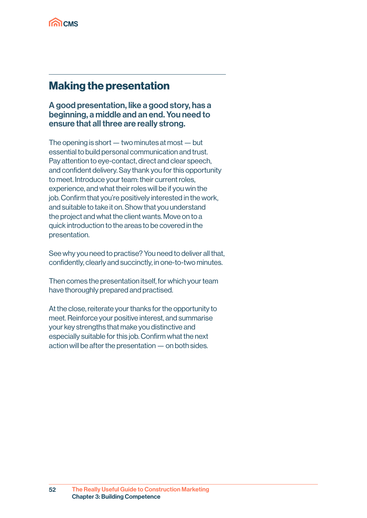

### Making the presentation

#### A good presentation, like a good story, has a beginning, a middle and an end. You need to ensure that all three are really strong.

The opening is short  $-$  two minutes at most  $-$  but essential to build personal communication and trust. Pay attention to eye-contact, direct and clear speech, and confident delivery. Say thank you for this opportunity to meet. Introduce your team: their current roles, experience, and what their roles will be if you win the job. Confirm that you're positively interested in the work, and suitable to take it on. Show that you understand the project and what the client wants. Move on to a quick introduction to the areas to be covered in the presentation.

See why you need to practise? You need to deliver all that, confidently, clearly and succinctly, in one-to-two minutes.

Then comes the presentation itself, for which your team have thoroughly prepared and practised.

At the close, reiterate your thanks for the opportunity to meet. Reinforce your positive interest, and summarise your key strengths that make you distinctive and especially suitable for this job. Confirm what the next action will be after the presentation — on both sides.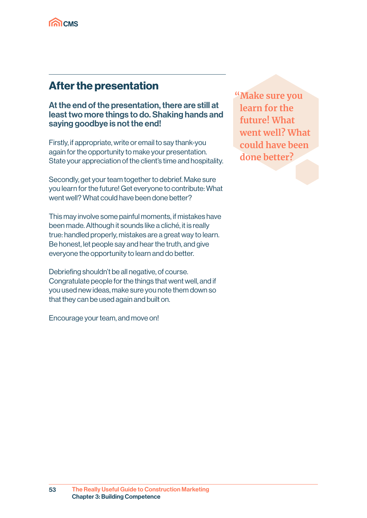

## After the presentation

At the end of the presentation, there are still at least two more things to do. Shaking hands and saying goodbye is not the end!

Firstly, if appropriate, write or email to say thank-you again for the opportunity to make your presentation. State your appreciation of the client's time and hospitality.

Secondly, get your team together to debrief. Make sure you learn for the future! Get everyone to contribute: What went well? What could have been done better?

This may involve some painful moments, if mistakes have been made. Although it sounds like a cliché, it is really true: handled properly, mistakes are a great way to learn. Be honest, let people say and hear the truth, and give everyone the opportunity to learn and do better.

Debriefing shouldn't be all negative, of course. Congratulate people for the things that went well, and if you used new ideas, make sure you note them down so that they can be used again and built on.

Encourage your team, and move on!

 **"Make sure you learn for the future! What went well? What could have been done better?**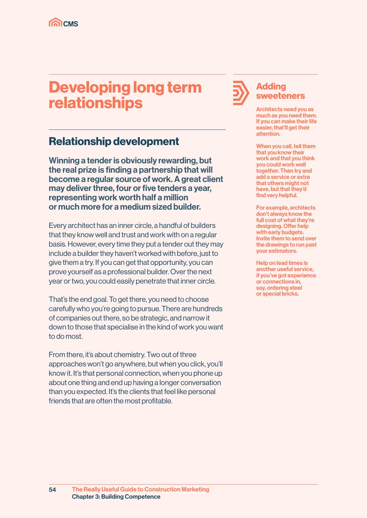# Developing long term relationships

# Relationship development

Winning a tender is obviously rewarding, but the real prize is finding a partnership that will become a regular source of work. A great client may deliver three, four or five tenders a year, representing work worth half a million or much more for a medium sized builder.

Every architect has an inner circle, a handful of builders that they know well and trust and work with on a regular basis. However, every time they put a tender out they may include a builder they haven't worked with before, just to give them a try. If you can get that opportunity, you can prove yourself as a professional builder. Over the next year or two, you could easily penetrate that inner circle.

That's the end goal. To get there, you need to choose carefully who you're going to pursue. There are hundreds of companies out there, so be strategic, and narrow it down to those that specialise in the kind of work you want to do most.

From there, it's about chemistry. Two out of three approaches won't go anywhere, but when you click, you'll know it. It's that personal connection, when you phone up about one thing and end up having a longer conversation than you expected. It's the clients that feel like personal friends that are often the most profitable.



#### Adding sweeteners

Architects need you as much as you need them. If you can make their life easier, that'll get their attention.

When you call, tell them that you know their work and that you think you could work well together. Then try and add a service or extra that others might not have, but that they'd find very helpful.

For example, architects don't always know the full cost of what they're designing. Offer help with early budgets. Invite them to send over the drawings to run past your estimators.

Help on lead times is another useful service, if you've got experience or connections in, say, ordering steel or special bricks.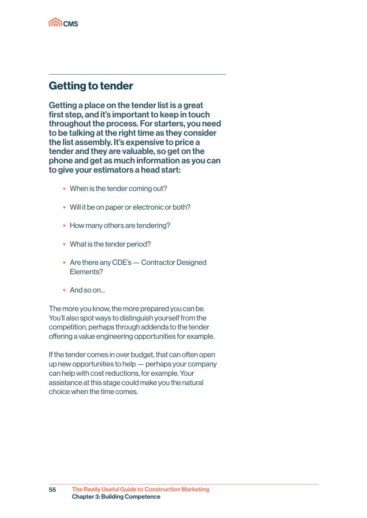

## Getting to tender

Getting a place on the tender list is a great first step, and it's important to keep in touch throughout the process. For starters, you need to be talking at the right time as they consider the list assembly. It's expensive to price a tender and they are valuable, so get on the phone and get as much information as you can to give your estimators a head start:

- When is the tender coming out?
- Will it be on paper or electronic or both?
- How many others are tendering?
- What is the tender period?
- Are there any CDE's Contractor Designed Elements?
- And so on

55

The more you know, the more prepared you can be. You'll also spot ways to distinguish yourself from the competition, perhaps through addenda to the tender offering a value engineering opportunities for example.

If the tender comes in over budget, that can often open up new opportunities to help — perhaps your company can help with cost reductions, for example. Your assistance at this stage could make you the natural choice when the time comes.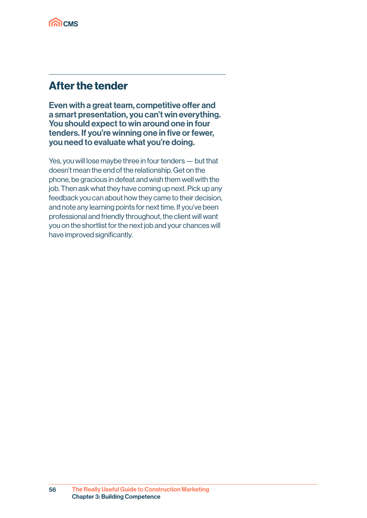

## After the tender

Even with a great team, competitive offer and a smart presentation, you can't win everything. You should expect to win around one in four tenders. If you're winning one in five or fewer, you need to evaluate what you're doing.

Yes, you will lose maybe three in four tenders — but that doesn't mean the end of the relationship. Get on the phone, be gracious in defeat and wish them well with the job. Then ask what they have coming up next. Pick up any feedback you can about how they came to their decision, and note any learning points for next time. If you've been professional and friendly throughout, the client will want you on the shortlist for the next job and your chances will have improved significantly.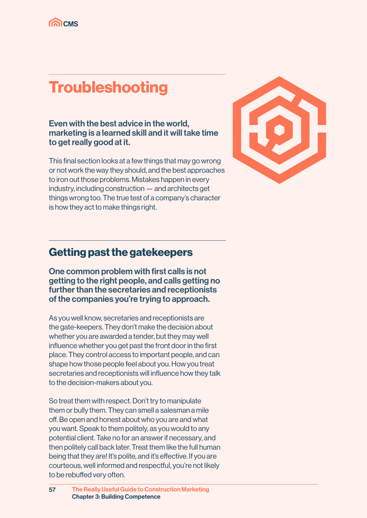

# **Troubleshooting**

#### Even with the best advice in the world, marketing is a learned skill and it will take time to get really good at it.

This final section looks at a few things that may go wrong or not work the way they should, and the best approaches to iron out those problems. Mistakes happen in every industry, including construction — and architects get things wrong too. The true test of a company's character is how they act to make things right.



#### Getting past the gatekeepers

One common problem with first calls is not getting to the right people, and calls getting no further than the secretaries and receptionists of the companies you're trying to approach.

As you well know, secretaries and receptionists are the gate-keepers. They don't make the decision about whether you are awarded a tender, but they may well influence whether you get past the front door in the first place. They control access to important people, and can shape how those people feel about you. How you treat secretaries and receptionists will influence how they talk to the decision-makers about you.

So treat them with respect. Don't try to manipulate them or bully them. They can smell a salesman a mile off. Be open and honest about who you are and what you want. Speak to them politely, as you would to any potential client. Take no for an answer if necessary, and then politely call back later. Treat them like the full human being that they are! It's polite, and it's effective. If you are courteous, well informed and respectful, you're not likely to be rebuffed very often.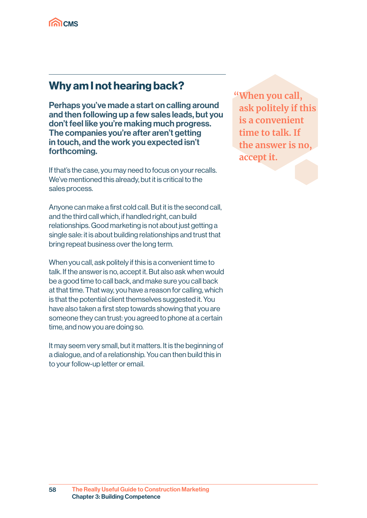

### Why am I not hearing back?

Perhaps you've made a start on calling around and then following up a few sales leads, but you don't feel like you're making much progress. The companies you're after aren't getting in touch, and the work you expected isn't forthcoming.

If that's the case, you may need to focus on your recalls. We've mentioned this already, but it is critical to the sales process.

Anyone can make a first cold call. But it is the second call, and the third call which, if handled right, can build relationships. Good marketing is not about just getting a single sale: it is about building relationships and trust that bring repeat business over the long term.

When you call, ask politely if this is a convenient time to talk. If the answer is no, accept it. But also ask when would be a good time to call back, and make sure you call back at that time. That way, you have a reason for calling, which is that the potential client themselves suggested it. You have also taken a first step towards showing that you are someone they can trust: you agreed to phone at a certain time, and now you are doing so.

It may seem very small, but it matters. It is the beginning of a dialogue, and of a relationship. You can then build this in to your follow-up letter or email.

 **"When you call, ask politely if this is a convenient time to talk. If the answer is no, accept it.**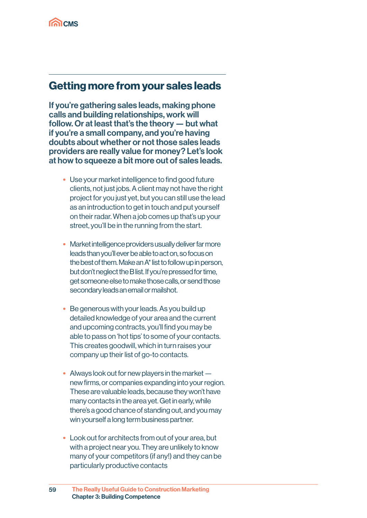#### Getting more from your sales leads

If you're gathering sales leads, making phone calls and building relationships, work will follow. Or at least that's the theory — but what if you're a small company, and you're having doubts about whether or not those sales leads providers are really value for money? Let's look at how to squeeze a bit more out of sales leads.

- Use your market intelligence to find good future clients, not just jobs. A client may not have the right project for you just yet, but you can still use the lead as an introduction to get in touch and put yourself on their radar. When a job comes up that's up your street, you'll be in the running from the start.
- Market intelligence providers usually deliver far more leads than you'll ever be able to act on, so focus on the best of them. Make an A\* list to follow up in person, but don't neglect the B list. If you're pressed for time, get someone else to make those calls, or send those secondary leads an email or mailshot.
- Be generous with your leads. As you build up detailed knowledge of your area and the current and upcoming contracts, you'll find you may be able to pass on 'hot tips' to some of your contacts. This creates goodwill, which in turn raises your company up their list of go-to contacts.
- Always look out for new players in the market new firms, or companies expanding into your region. These are valuable leads, because they won't have many contacts in the area yet. Get in early, while there's a good chance of standing out, and you may win yourself a long term business partner.
- Look out for architects from out of your area, but with a project near you. They are unlikely to know many of your competitors (if any!) and they can be particularly productive contacts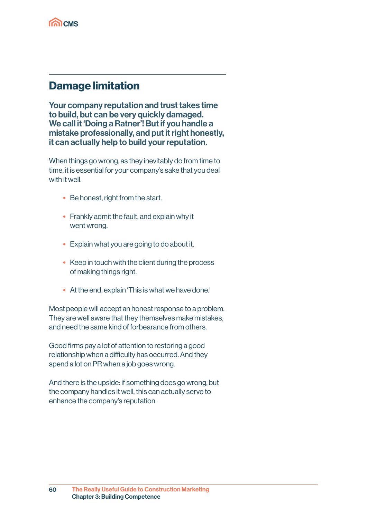

## Damage limitation

Your company reputation and trust takes time to build, but can be very quickly damaged. We call it 'Doing a Ratner'! But if you handle a mistake professionally, and put it right honestly, it can actually help to build your reputation.

When things go wrong, as they inevitably do from time to time, it is essential for your company's sake that you deal with it well.

- Be honest, right from the start.
- Frankly admit the fault, and explain why it went wrong.
- Explain what you are going to do about it.
- Keep in touch with the client during the process of making things right.
- At the end, explain 'This is what we have done.'

Most people will accept an honest response to a problem. They are well aware that they themselves make mistakes, and need the same kind of forbearance from others.

Good firms pay a lot of attention to restoring a good relationship when a difficulty has occurred. And they spend a lot on PR when a job goes wrong.

And there is the upside: if something does go wrong, but the company handles it well, this can actually serve to enhance the company's reputation.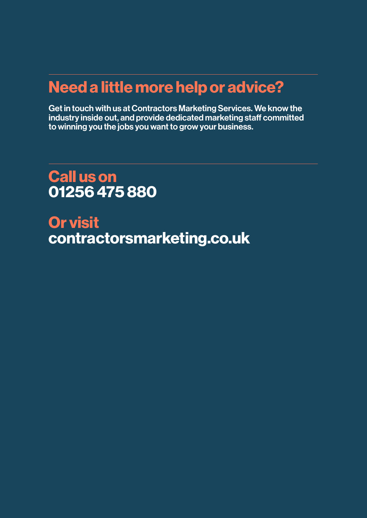# Need a little more help or advice?

Get in touch with us at Contractors Marketing Services. We know the industry inside out, and provide dedicated marketing staff committed to winning you the jobs you want to grow your business.

# Call us on 01256 475 880

Or visit contractorsmarketing.co.uk